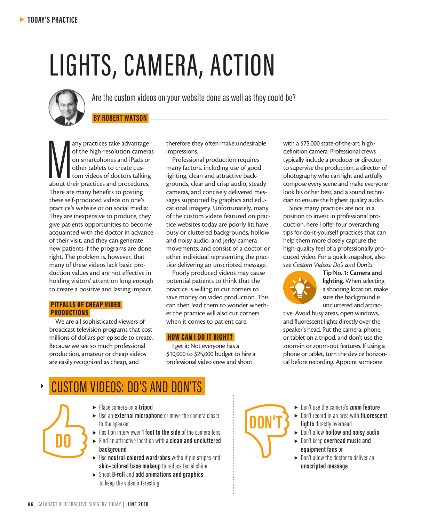# LIGHTS, CAMERA, ACTION



Are the custom videos on your website done as well as they could be?

### **BY ROBERT WATSON**

any practices take advantage<br>
of the high-resolution camera<br>
on smartphones and iPads or<br>
other tablets to create cus-<br>
tom videos of doctors talking<br>
about their practices and procedures. any practices take advantage of the high-resolution cameras on smartphones and iPads or other tablets to create custom videos of doctors talking There are many benefits to posting these self-produced videos on one's practice's website or on social media: They are inexpensive to produce, they give patients opportunities to become acquainted with the doctor in advance of their visit, and they can generate new patients if the programs are done right. The problem is, however, that many of these videos lack basic production values and are not effective in holding visitors' attention long enough to create a positive and lasting impact.

#### PITFALLS OF CHEAP VIDEO PRODUCTIONS

We are all sophisticated viewers of broadcast television programs that cost millions of dollars per episode to create. Because we see so much professional production, amateur or cheap videos are easily recognized as cheap, and

therefore they often make undesirable impressions.

Professional production requires many factors, including use of good lighting, clean and attractive backgrounds, clear and crisp audio, steady cameras, and concisely delivered messages supported by graphics and educational imagery. Unfortunately, many of the custom videos featured on practice websites today are poorly lit; have busy or cluttered backgrounds, hollow and noisy audio, and jerky camera movements; and consist of a doctor or other individual representing the practice delivering an unscripted message.

Poorly produced videos may cause potential patients to think that the practice is willing to cut corners to save money on video production. This can then lead them to wonder whether the practice will also cut corners when it comes to patient care.

#### HOW CAN I DO IT RIGHT?

I get it: Not everyone has a \$10,000 to \$25,000 budget to hire a professional video crew and shoot

with a \$75,000 state-of-the-art, highdefinition camera. Professional crews typically include a producer or director to supervise the production, a director of photography who can light and artfully compose every scene and make everyone look his or her best, and a sound technician to ensure the highest quality audio.

Since many practices are not in a position to invest in professional production, here I offer four overarching tips for do-it-yourself practices that can help them more closely capture the high-quality feel of a professionally produced video. For a quick snapshot, also see *Custom Videos: Do's and Don'ts*.



Tip No. 1: Camera and lighting. When selecting a shooting location, make sure the background is uncluttered and attrac-

tive. Avoid busy areas, open windows, and fluorescent lights directly over the speaker's head. Put the camera, phone, or tablet on a tripod, and don't use the zoom-in or zoom-out features. If using a phone or tablet, turn the device horizontal before recording. Appoint someone

## CUSTOM VIDEOS: DO'S AND DON'TS

- <sup>s</sup> Place camera on a **tripod**
- <sup>s</sup> Use an **external microphone** or move the camera closer to the speaker
- **>** Position interviewer **1 foot to the side** of the camera lens <sup>s</sup> Find an attractive location with a **clean and uncluttered background**
- ▶ Use **neutral-colored wardrobes** without pin stripes and **skin–colored base makeup** to reduce facial shine
- <sup>s</sup> Shoot **B-roll** and **add animations and graphics** to keep the video interesting

**DON'T**

- <sup>s</sup> Don't use the camera's **zoom feature**
- <sup>s</sup> Don't record in an area with **fluorescent lights** directly overhead
- <sup>s</sup> Don't allow **hollow and noisy audio**
- <sup>s</sup> Don't keep **overhead music and equipment fans** on
- $\blacktriangleright$  Don't allow the doctor to deliver an **unscripted message**

**DO**